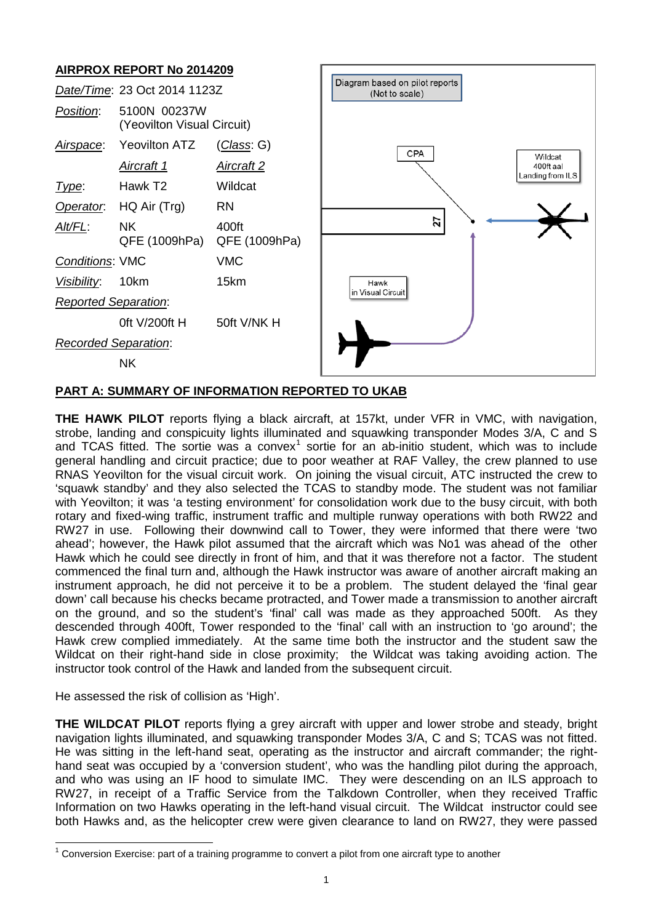# **AIRPROX REPORT No 2014209**

|                                                  | AINF NUA NEFUNT NU ZUT4ZU3                 |                        |                                                  |  |  |
|--------------------------------------------------|--------------------------------------------|------------------------|--------------------------------------------------|--|--|
| Date/Time: 23 Oct 2014 1123Z                     |                                            |                        | Diagram based on pilot reports<br>(Not to scale) |  |  |
| Position:                                        | 5100N 00237W<br>(Yeovilton Visual Circuit) |                        |                                                  |  |  |
| Airspace:                                        | <b>Yeovilton ATZ</b>                       | <u>(Class</u> : G)     | CPA                                              |  |  |
|                                                  | <u>Aircraft 1</u>                          | <b>Aircraft 2</b>      | Wildcat<br>400ft aal<br>Landing from ILS         |  |  |
| Type:                                            | Hawk T <sub>2</sub>                        | Wildcat                |                                                  |  |  |
| Operator.                                        | HQ Air (Trg)                               | <b>RN</b>              |                                                  |  |  |
| Alt/FL:                                          | <b>NK</b><br>QFE (1009hPa)                 | 400ft<br>QFE (1009hPa) | 27                                               |  |  |
| <b>Conditions: VMC</b>                           |                                            | <b>VMC</b>             |                                                  |  |  |
| Visibility:                                      | 10km                                       | 15km                   | Hawk                                             |  |  |
| in Visual Circuit<br><b>Reported Separation:</b> |                                            |                        |                                                  |  |  |
|                                                  | Oft V/200ft H                              | 50ft V/NK H            |                                                  |  |  |
| Recorded Separation:                             |                                            |                        |                                                  |  |  |
|                                                  | <b>NK</b>                                  |                        |                                                  |  |  |
|                                                  |                                            |                        |                                                  |  |  |

### **PART A: SUMMARY OF INFORMATION REPORTED TO UKAB**

**THE HAWK PILOT** reports flying a black aircraft, at 157kt, under VFR in VMC, with navigation, strobe, landing and conspicuity lights illuminated and squawking transponder Modes 3/A, C and S and TCAS fitted. The sortie was a convex<sup>[1](#page-0-0)</sup> sortie for an ab-initio student, which was to include general handling and circuit practice; due to poor weather at RAF Valley, the crew planned to use RNAS Yeovilton for the visual circuit work. On joining the visual circuit, ATC instructed the crew to 'squawk standby' and they also selected the TCAS to standby mode. The student was not familiar with Yeovilton; it was 'a testing environment' for consolidation work due to the busy circuit, with both rotary and fixed-wing traffic, instrument traffic and multiple runway operations with both RW22 and RW27 in use. Following their downwind call to Tower, they were informed that there were 'two ahead'; however, the Hawk pilot assumed that the aircraft which was No1 was ahead of the other Hawk which he could see directly in front of him, and that it was therefore not a factor. The student commenced the final turn and, although the Hawk instructor was aware of another aircraft making an instrument approach, he did not perceive it to be a problem. The student delayed the 'final gear down' call because his checks became protracted, and Tower made a transmission to another aircraft on the ground, and so the student's 'final' call was made as they approached 500ft. As they descended through 400ft, Tower responded to the 'final' call with an instruction to 'go around'; the Hawk crew complied immediately. At the same time both the instructor and the student saw the Wildcat on their right-hand side in close proximity; the Wildcat was taking avoiding action. The instructor took control of the Hawk and landed from the subsequent circuit.

He assessed the risk of collision as 'High'.

 $\overline{\phantom{a}}$ 

**THE WILDCAT PILOT** reports flying a grey aircraft with upper and lower strobe and steady, bright navigation lights illuminated, and squawking transponder Modes 3/A, C and S; TCAS was not fitted. He was sitting in the left-hand seat, operating as the instructor and aircraft commander; the righthand seat was occupied by a 'conversion student', who was the handling pilot during the approach, and who was using an IF hood to simulate IMC. They were descending on an ILS approach to RW27, in receipt of a Traffic Service from the Talkdown Controller, when they received Traffic Information on two Hawks operating in the left-hand visual circuit. The Wildcat instructor could see both Hawks and, as the helicopter crew were given clearance to land on RW27, they were passed

<span id="page-0-0"></span> $1$  Conversion Exercise: part of a training programme to convert a pilot from one aircraft type to another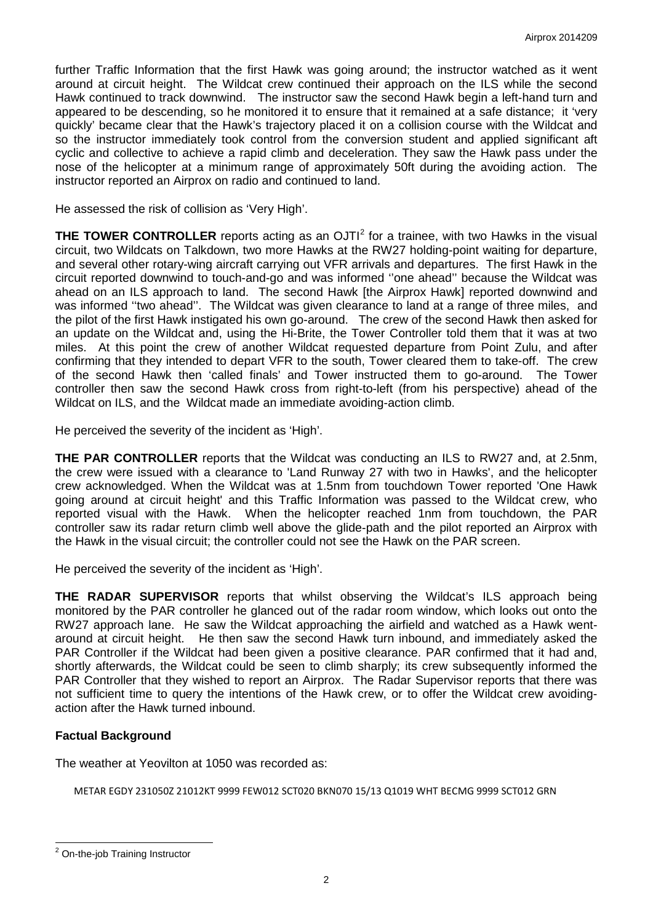further Traffic Information that the first Hawk was going around; the instructor watched as it went around at circuit height. The Wildcat crew continued their approach on the ILS while the second Hawk continued to track downwind. The instructor saw the second Hawk begin a left-hand turn and appeared to be descending, so he monitored it to ensure that it remained at a safe distance: it 'verv quickly' became clear that the Hawk's trajectory placed it on a collision course with the Wildcat and so the instructor immediately took control from the conversion student and applied significant aft cyclic and collective to achieve a rapid climb and deceleration. They saw the Hawk pass under the nose of the helicopter at a minimum range of approximately 50ft during the avoiding action. The instructor reported an Airprox on radio and continued to land.

He assessed the risk of collision as 'Very High'.

**THE TOWER CONTROLLER** reports acting as an OJTI<sup>[2](#page-1-0)</sup> for a trainee, with two Hawks in the visual circuit, two Wildcats on Talkdown, two more Hawks at the RW27 holding-point waiting for departure, and several other rotary-wing aircraft carrying out VFR arrivals and departures. The first Hawk in the circuit reported downwind to touch-and-go and was informed ''one ahead'' because the Wildcat was ahead on an ILS approach to land. The second Hawk [the Airprox Hawk] reported downwind and was informed "two ahead". The Wildcat was given clearance to land at a range of three miles, and the pilot of the first Hawk instigated his own go-around. The crew of the second Hawk then asked for an update on the Wildcat and, using the Hi-Brite, the Tower Controller told them that it was at two miles. At this point the crew of another Wildcat requested departure from Point Zulu, and after confirming that they intended to depart VFR to the south, Tower cleared them to take-off. The crew of the second Hawk then 'called finals' and Tower instructed them to go-around. The Tower controller then saw the second Hawk cross from right-to-left (from his perspective) ahead of the Wildcat on ILS, and the Wildcat made an immediate avoiding-action climb.

He perceived the severity of the incident as 'High'.

**THE PAR CONTROLLER** reports that the Wildcat was conducting an ILS to RW27 and, at 2.5nm, the crew were issued with a clearance to 'Land Runway 27 with two in Hawks', and the helicopter crew acknowledged. When the Wildcat was at 1.5nm from touchdown Tower reported 'One Hawk going around at circuit height' and this Traffic Information was passed to the Wildcat crew, who reported visual with the Hawk. When the helicopter reached 1nm from touchdown, the PAR controller saw its radar return climb well above the glide-path and the pilot reported an Airprox with the Hawk in the visual circuit; the controller could not see the Hawk on the PAR screen.

He perceived the severity of the incident as 'High'.

**THE RADAR SUPERVISOR** reports that whilst observing the Wildcat's ILS approach being monitored by the PAR controller he glanced out of the radar room window, which looks out onto the RW27 approach lane. He saw the Wildcat approaching the airfield and watched as a Hawk wentaround at circuit height. He then saw the second Hawk turn inbound, and immediately asked the PAR Controller if the Wildcat had been given a positive clearance. PAR confirmed that it had and, shortly afterwards, the Wildcat could be seen to climb sharply; its crew subsequently informed the PAR Controller that they wished to report an Airprox. The Radar Supervisor reports that there was not sufficient time to query the intentions of the Hawk crew, or to offer the Wildcat crew avoidingaction after the Hawk turned inbound.

### **Factual Background**

The weather at Yeovilton at 1050 was recorded as:

METAR EGDY 231050Z 21012KT 9999 FEW012 SCT020 BKN070 15/13 Q1019 WHT BECMG 9999 SCT012 GRN

 $\overline{\phantom{a}}$ 

<span id="page-1-0"></span><sup>&</sup>lt;sup>2</sup> On-the-job Training Instructor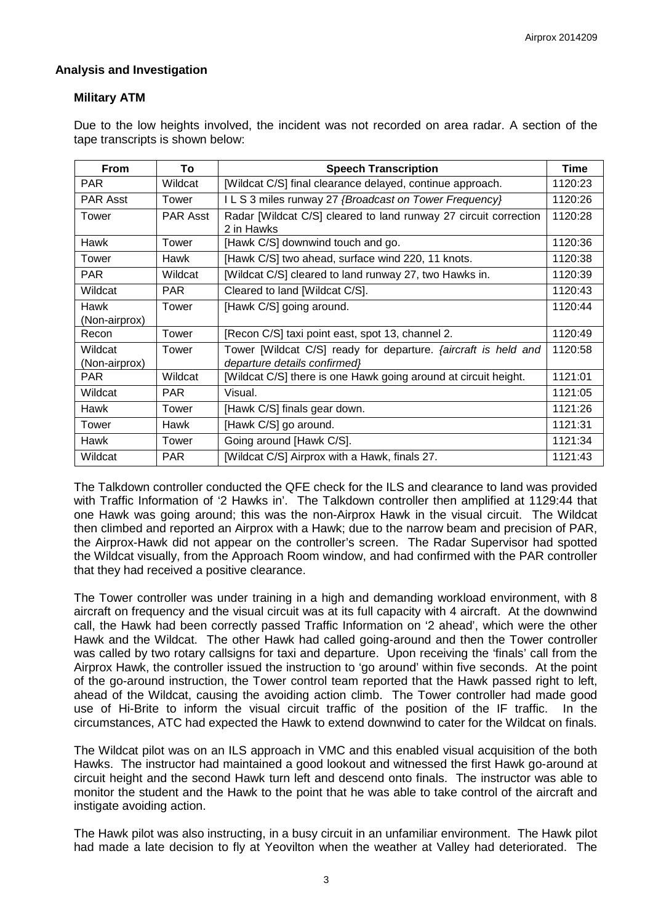### **Analysis and Investigation**

### **Military ATM**

Due to the low heights involved, the incident was not recorded on area radar. A section of the tape transcripts is shown below:

| <b>From</b>              | To              | <b>Speech Transcription</b>                                                                           | Time    |
|--------------------------|-----------------|-------------------------------------------------------------------------------------------------------|---------|
| <b>PAR</b>               | Wildcat         | [Wildcat C/S] final clearance delayed, continue approach.                                             | 1120:23 |
| <b>PAR Asst</b>          | Tower           | ILS 3 miles runway 27 {Broadcast on Tower Frequency}                                                  | 1120:26 |
| Tower                    | <b>PAR Asst</b> | Radar [Wildcat C/S] cleared to land runway 27 circuit correction<br>2 in Hawks                        | 1120:28 |
| Hawk                     | Tower           | [Hawk C/S] downwind touch and go.                                                                     | 1120:36 |
| Tower                    | Hawk            | [Hawk C/S] two ahead, surface wind 220, 11 knots.                                                     | 1120:38 |
| <b>PAR</b>               | Wildcat         | [Wildcat C/S] cleared to land runway 27, two Hawks in.                                                | 1120:39 |
| Wildcat                  | <b>PAR</b>      | Cleared to land [Wildcat C/S].                                                                        | 1120:43 |
| Hawk<br>(Non-airprox)    | Tower           | [Hawk C/S] going around.                                                                              | 1120:44 |
| Recon                    | Tower           | [Recon C/S] taxi point east, spot 13, channel 2.                                                      | 1120:49 |
| Wildcat<br>(Non-airprox) | Tower           | Tower [Wildcat C/S] ready for departure. <i>{aircraft is held and</i><br>departure details confirmed} | 1120:58 |
| <b>PAR</b>               | Wildcat         | [Wildcat C/S] there is one Hawk going around at circuit height.                                       | 1121:01 |
| Wildcat                  | <b>PAR</b>      | Visual.                                                                                               | 1121:05 |
| Hawk                     | Tower           | [Hawk C/S] finals gear down.                                                                          | 1121:26 |
| Tower                    | Hawk            | [Hawk C/S] go around.                                                                                 | 1121:31 |
| Hawk                     | Tower           | Going around [Hawk C/S].                                                                              | 1121:34 |
| Wildcat                  | <b>PAR</b>      | [Wildcat C/S] Airprox with a Hawk, finals 27.                                                         | 1121:43 |

The Talkdown controller conducted the QFE check for the ILS and clearance to land was provided with Traffic Information of '2 Hawks in'. The Talkdown controller then amplified at 1129:44 that one Hawk was going around; this was the non-Airprox Hawk in the visual circuit. The Wildcat then climbed and reported an Airprox with a Hawk; due to the narrow beam and precision of PAR, the Airprox-Hawk did not appear on the controller's screen. The Radar Supervisor had spotted the Wildcat visually, from the Approach Room window, and had confirmed with the PAR controller that they had received a positive clearance.

The Tower controller was under training in a high and demanding workload environment, with 8 aircraft on frequency and the visual circuit was at its full capacity with 4 aircraft. At the downwind call, the Hawk had been correctly passed Traffic Information on '2 ahead', which were the other Hawk and the Wildcat. The other Hawk had called going-around and then the Tower controller was called by two rotary callsigns for taxi and departure. Upon receiving the 'finals' call from the Airprox Hawk, the controller issued the instruction to 'go around' within five seconds. At the point of the go-around instruction, the Tower control team reported that the Hawk passed right to left, ahead of the Wildcat, causing the avoiding action climb. The Tower controller had made good use of Hi-Brite to inform the visual circuit traffic of the position of the IF traffic. In the circumstances, ATC had expected the Hawk to extend downwind to cater for the Wildcat on finals.

The Wildcat pilot was on an ILS approach in VMC and this enabled visual acquisition of the both Hawks. The instructor had maintained a good lookout and witnessed the first Hawk go-around at circuit height and the second Hawk turn left and descend onto finals. The instructor was able to monitor the student and the Hawk to the point that he was able to take control of the aircraft and instigate avoiding action.

The Hawk pilot was also instructing, in a busy circuit in an unfamiliar environment. The Hawk pilot had made a late decision to fly at Yeovilton when the weather at Valley had deteriorated. The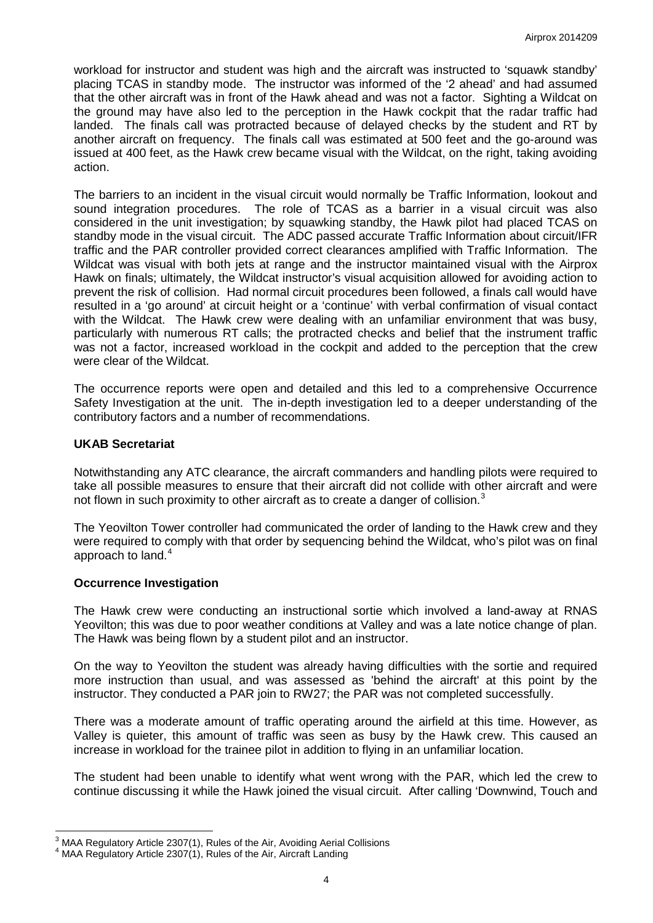workload for instructor and student was high and the aircraft was instructed to 'squawk standby' placing TCAS in standby mode. The instructor was informed of the '2 ahead' and had assumed that the other aircraft was in front of the Hawk ahead and was not a factor. Sighting a Wildcat on the ground may have also led to the perception in the Hawk cockpit that the radar traffic had landed. The finals call was protracted because of delayed checks by the student and RT by another aircraft on frequency. The finals call was estimated at 500 feet and the go-around was issued at 400 feet, as the Hawk crew became visual with the Wildcat, on the right, taking avoiding action.

The barriers to an incident in the visual circuit would normally be Traffic Information, lookout and sound integration procedures. The role of TCAS as a barrier in a visual circuit was also considered in the unit investigation; by squawking standby, the Hawk pilot had placed TCAS on standby mode in the visual circuit. The ADC passed accurate Traffic Information about circuit/IFR traffic and the PAR controller provided correct clearances amplified with Traffic Information. The Wildcat was visual with both jets at range and the instructor maintained visual with the Airprox Hawk on finals; ultimately, the Wildcat instructor's visual acquisition allowed for avoiding action to prevent the risk of collision. Had normal circuit procedures been followed, a finals call would have resulted in a 'go around' at circuit height or a 'continue' with verbal confirmation of visual contact with the Wildcat. The Hawk crew were dealing with an unfamiliar environment that was busy, particularly with numerous RT calls; the protracted checks and belief that the instrument traffic was not a factor, increased workload in the cockpit and added to the perception that the crew were clear of the Wildcat.

The occurrence reports were open and detailed and this led to a comprehensive Occurrence Safety Investigation at the unit. The in-depth investigation led to a deeper understanding of the contributory factors and a number of recommendations.

#### **UKAB Secretariat**

Notwithstanding any ATC clearance, the aircraft commanders and handling pilots were required to take all possible measures to ensure that their aircraft did not collide with other aircraft and were not flown in such proximity to other aircraft as to create a danger of collision.<sup>[3](#page-3-0)</sup>

The Yeovilton Tower controller had communicated the order of landing to the Hawk crew and they were required to comply with that order by sequencing behind the Wildcat, who's pilot was on final approach to land. $4$ 

#### **Occurrence Investigation**

l

The Hawk crew were conducting an instructional sortie which involved a land-away at RNAS Yeovilton; this was due to poor weather conditions at Valley and was a late notice change of plan. The Hawk was being flown by a student pilot and an instructor.

On the way to Yeovilton the student was already having difficulties with the sortie and required more instruction than usual, and was assessed as 'behind the aircraft' at this point by the instructor. They conducted a PAR join to RW27; the PAR was not completed successfully.

There was a moderate amount of traffic operating around the airfield at this time. However, as Valley is quieter, this amount of traffic was seen as busy by the Hawk crew. This caused an increase in workload for the trainee pilot in addition to flying in an unfamiliar location.

The student had been unable to identify what went wrong with the PAR, which led the crew to continue discussing it while the Hawk joined the visual circuit. After calling 'Downwind, Touch and

<span id="page-3-0"></span><sup>&</sup>lt;sup>3</sup> MAA Regulatory Article 2307(1), Rules of the Air, Avoiding Aerial Collisions<br><sup>4</sup> MAA Begulatory Article 2207(1), Bulge of the Air, Aircraft Londing

<span id="page-3-1"></span>MAA Regulatory Article 2307(1), Rules of the Air, Aircraft Landing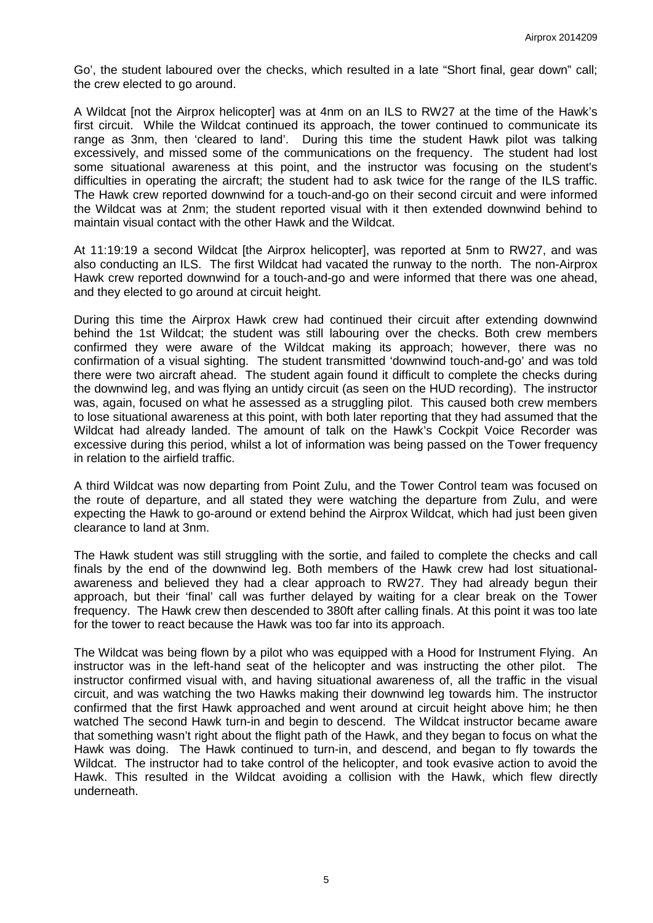Go', the student laboured over the checks, which resulted in a late "Short final, gear down" call; the crew elected to go around.

A Wildcat [not the Airprox helicopter] was at 4nm on an ILS to RW27 at the time of the Hawk's first circuit. While the Wildcat continued its approach, the tower continued to communicate its range as 3nm, then 'cleared to land'. During this time the student Hawk pilot was talking excessively, and missed some of the communications on the frequency. The student had lost some situational awareness at this point, and the instructor was focusing on the student's difficulties in operating the aircraft; the student had to ask twice for the range of the ILS traffic. The Hawk crew reported downwind for a touch-and-go on their second circuit and were informed the Wildcat was at 2nm; the student reported visual with it then extended downwind behind to maintain visual contact with the other Hawk and the Wildcat.

At 11:19:19 a second Wildcat [the Airprox helicopter], was reported at 5nm to RW27, and was also conducting an ILS. The first Wildcat had vacated the runway to the north. The non-Airprox Hawk crew reported downwind for a touch-and-go and were informed that there was one ahead, and they elected to go around at circuit height.

During this time the Airprox Hawk crew had continued their circuit after extending downwind behind the 1st Wildcat; the student was still labouring over the checks. Both crew members confirmed they were aware of the Wildcat making its approach; however, there was no confirmation of a visual sighting. The student transmitted 'downwind touch-and-go' and was told there were two aircraft ahead. The student again found it difficult to complete the checks during the downwind leg, and was flying an untidy circuit (as seen on the HUD recording). The instructor was, again, focused on what he assessed as a struggling pilot. This caused both crew members to lose situational awareness at this point, with both later reporting that they had assumed that the Wildcat had already landed. The amount of talk on the Hawk's Cockpit Voice Recorder was excessive during this period, whilst a lot of information was being passed on the Tower frequency in relation to the airfield traffic.

A third Wildcat was now departing from Point Zulu, and the Tower Control team was focused on the route of departure, and all stated they were watching the departure from Zulu, and were expecting the Hawk to go-around or extend behind the Airprox Wildcat, which had just been given clearance to land at 3nm.

The Hawk student was still struggling with the sortie, and failed to complete the checks and call finals by the end of the downwind leg. Both members of the Hawk crew had lost situationalawareness and believed they had a clear approach to RW27. They had already begun their approach, but their 'final' call was further delayed by waiting for a clear break on the Tower frequency. The Hawk crew then descended to 380ft after calling finals. At this point it was too late for the tower to react because the Hawk was too far into its approach.

The Wildcat was being flown by a pilot who was equipped with a Hood for Instrument Flying. An instructor was in the left-hand seat of the helicopter and was instructing the other pilot. The instructor confirmed visual with, and having situational awareness of, all the traffic in the visual circuit, and was watching the two Hawks making their downwind leg towards him. The instructor confirmed that the first Hawk approached and went around at circuit height above him; he then watched The second Hawk turn-in and begin to descend. The Wildcat instructor became aware that something wasn't right about the flight path of the Hawk, and they began to focus on what the Hawk was doing. The Hawk continued to turn-in, and descend, and began to fly towards the Wildcat. The instructor had to take control of the helicopter, and took evasive action to avoid the Hawk. This resulted in the Wildcat avoiding a collision with the Hawk, which flew directly underneath.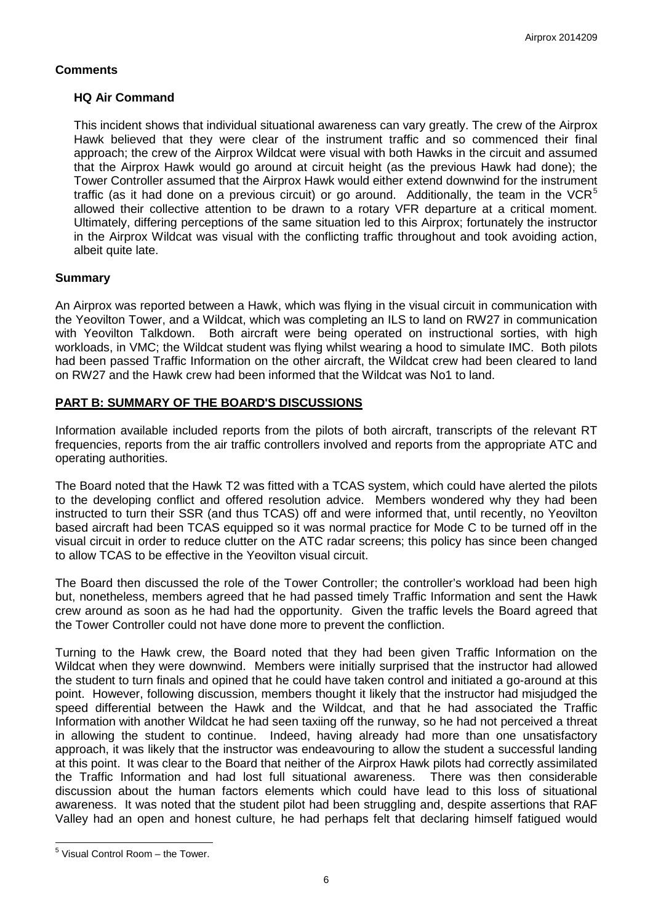### **Comments**

### **HQ Air Command**

This incident shows that individual situational awareness can vary greatly. The crew of the Airprox Hawk believed that they were clear of the instrument traffic and so commenced their final approach; the crew of the Airprox Wildcat were visual with both Hawks in the circuit and assumed that the Airprox Hawk would go around at circuit height (as the previous Hawk had done); the Tower Controller assumed that the Airprox Hawk would either extend downwind for the instrument traffic (as it had done on a previous circuit) or go around. Additionally, the team in the VCR<sup>[5](#page-5-0)</sup> allowed their collective attention to be drawn to a rotary VFR departure at a critical moment. Ultimately, differing perceptions of the same situation led to this Airprox; fortunately the instructor in the Airprox Wildcat was visual with the conflicting traffic throughout and took avoiding action, albeit quite late.

## **Summary**

An Airprox was reported between a Hawk, which was flying in the visual circuit in communication with the Yeovilton Tower, and a Wildcat, which was completing an ILS to land on RW27 in communication with Yeovilton Talkdown. Both aircraft were being operated on instructional sorties, with high workloads, in VMC; the Wildcat student was flying whilst wearing a hood to simulate IMC. Both pilots had been passed Traffic Information on the other aircraft, the Wildcat crew had been cleared to land on RW27 and the Hawk crew had been informed that the Wildcat was No1 to land.

## **PART B: SUMMARY OF THE BOARD'S DISCUSSIONS**

Information available included reports from the pilots of both aircraft, transcripts of the relevant RT frequencies, reports from the air traffic controllers involved and reports from the appropriate ATC and operating authorities.

The Board noted that the Hawk T2 was fitted with a TCAS system, which could have alerted the pilots to the developing conflict and offered resolution advice. Members wondered why they had been instructed to turn their SSR (and thus TCAS) off and were informed that, until recently, no Yeovilton based aircraft had been TCAS equipped so it was normal practice for Mode C to be turned off in the visual circuit in order to reduce clutter on the ATC radar screens; this policy has since been changed to allow TCAS to be effective in the Yeovilton visual circuit.

The Board then discussed the role of the Tower Controller; the controller's workload had been high but, nonetheless, members agreed that he had passed timely Traffic Information and sent the Hawk crew around as soon as he had had the opportunity. Given the traffic levels the Board agreed that the Tower Controller could not have done more to prevent the confliction.

Turning to the Hawk crew, the Board noted that they had been given Traffic Information on the Wildcat when they were downwind. Members were initially surprised that the instructor had allowed the student to turn finals and opined that he could have taken control and initiated a go-around at this point. However, following discussion, members thought it likely that the instructor had misjudged the speed differential between the Hawk and the Wildcat, and that he had associated the Traffic Information with another Wildcat he had seen taxiing off the runway, so he had not perceived a threat in allowing the student to continue. Indeed, having already had more than one unsatisfactory approach, it was likely that the instructor was endeavouring to allow the student a successful landing at this point. It was clear to the Board that neither of the Airprox Hawk pilots had correctly assimilated the Traffic Information and had lost full situational awareness. There was then considerable discussion about the human factors elements which could have lead to this loss of situational awareness. It was noted that the student pilot had been struggling and, despite assertions that RAF Valley had an open and honest culture, he had perhaps felt that declaring himself fatigued would

 $\overline{\phantom{a}}$ 

<span id="page-5-0"></span> $5$  Visual Control Room – the Tower.